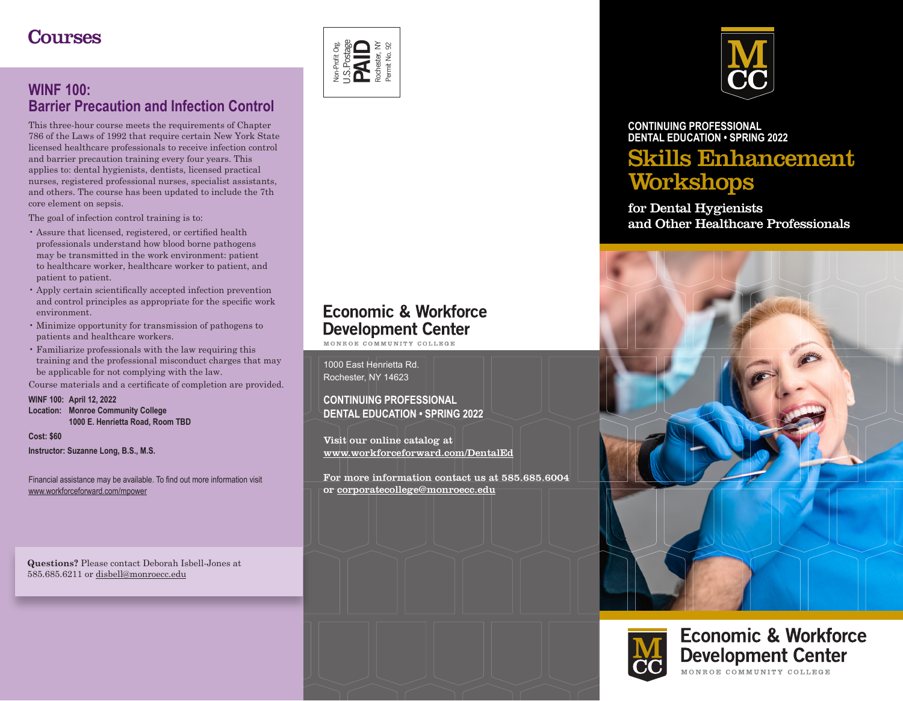# **Courses**



## **WINF 100: [Barrier Precaution and Infection Control](https://campusce.monroecc.edu/monroecc/course/course.aspx?C=12&utm_source=DentalBrochureSpring2022&utm_campaign=BarrierPrecaution)**

This three-hour course meets the requirements of Chapter 786 of the Laws of 1992 that require certain New York State licensed healthcare professionals to receive infection control and barrier precaution training every four years. This applies to: dental hygienists, dentists, licensed practical nurses, registered professional nurses, specialist assistants, and others. The course has been updated to include the 7th core element on sepsis.

The goal of infection control training is to:

- Assure that licensed, registered, or certified health professionals understand how blood borne pathogens may be transmitted in the work environment: patient to healthcare worker, healthcare worker to patient, and patient to patient.
- Apply certain scientifically accepted infection prevention and control principles as appropriate for the specific work environment.
- Minimize opportunity for transmission of pathogens to patients and healthcare workers.
- Familiarize professionals with the law requiring this training and the professional misconduct charges that may be applicable for not complying with the law.

Course materials and a certificate of completion are provided.

**WINF 100: [April 12, 2022](https://campusce.monroecc.edu/monroecc/course/course.aspx?C=12&utm_source=DentalBrochureSpring2022&utm_campaign=BarrierPrecaution) Location: Monroe Community College 1000 E. Henrietta Road, Room TBD**

**Cost: \$60**

**Instructor: Suzanne Long, B.S., M.S.**

Financial assistance may be available. To find out more information visit [www.workforceforward.com/mpower](https://workforceforward.com/mpower/?utm_source=DentalBrochureSpring2022&utm_campaign=MPower)

**Questions?** Please contact Deborah Isbell-Jones at 585.685.6211 or disbell@monroecc.edu



### **CONTINUING PROFESSIONAL [DENTAL EDUCATION](https://workforceforward.com/professional-development/health-care-courses/?utm_source=DentalBrochureSpring2022&utm_campaign=HealthCare) • [SPRING 2022](https://workforceforward.com/professional-development/health-care-courses/?utm_source=DentalBrochureSpring2022&utm_campaign=HealthCare)** Skills Enhancement **Workshops**

for Dental Hygienists and Other Healthcare Professionals





### **Economic & Workforce Development Center** MONROE COMMUNITY COLLEGE

# **Economic & Workforce Development Center**

MONROE COMMITNITY COLLEGE

1000 East Henrietta Rd. Rochester, NY 14623

**CONTINUING PROFESSIONAL DENTAL EDUCATION • [SPRING 2022](https://workforceforward.com/professional-development/health-care-courses/?utm_source=DentalBrochureSpring2022&utm_campaign=HealthCare)** 

Visit our online catalog at [www.workforceforward.com/DentalEd](https://workforceforward.com/professional-development/health-care-courses/?utm_source=DentalBrochureSpring2022&utm_campaign=HealthCare)

For more information contact us at 585.685.6004 or corporatecollege@monroecc.edu